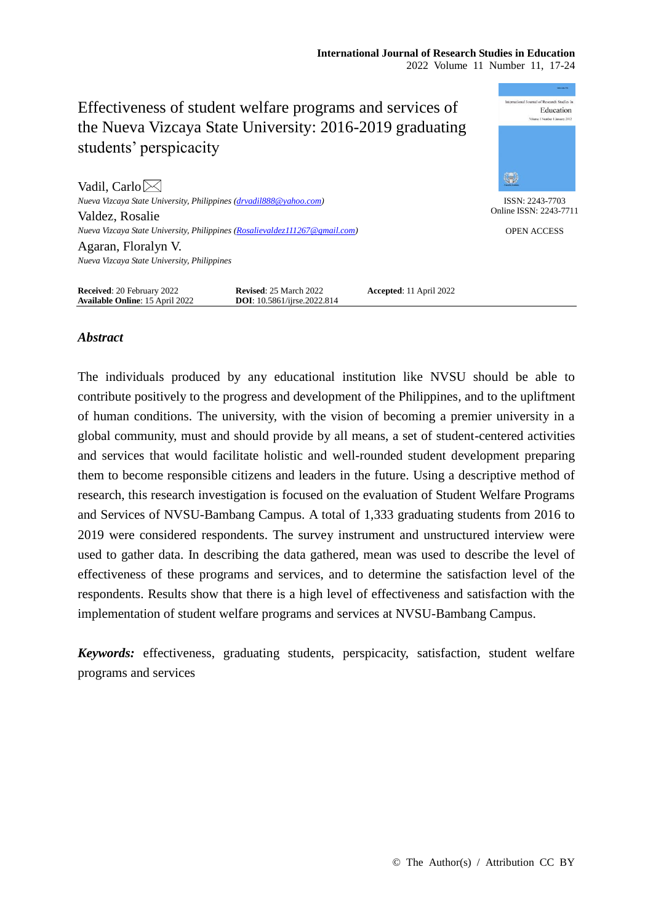mational Journal of Research Studies in Effectiveness of student welfare programs and services of Education the Nueva Vizcaya State University: 2016-2019 graduating students' perspicacity \$ Vadil, Carlo $\boxtimes$ *Nueva Vizcaya State University, Philippines [\(drvadil888@yahoo.com\)](mailto:drvadil888@yahoo.com)* ISSN: 2243-7703 Online ISSN: 2243-7711 Valdez, Rosalie *Nueva Vizcaya State University, Philippines [\(Rosalievaldez111267@gmail.com\)](mailto:Rosalievaldez111267@gmail.com)* OPEN ACCESS Agaran, Floralyn V. *Nueva Vizcaya State University, Philippines* **Received**: 20 February 2022 **Revised**: 25 March 2022 **Accepted**: 11 April 2022

# *Abstract*

**Available Online**: 15 April 2022 **DOI**: 10.5861/ijrse.2022.814

The individuals produced by any educational institution like NVSU should be able to contribute positively to the progress and development of the Philippines, and to the upliftment of human conditions. The university, with the vision of becoming a premier university in a global community, must and should provide by all means, a set of student-centered activities and services that would facilitate holistic and well-rounded student development preparing them to become responsible citizens and leaders in the future. Using a descriptive method of research, this research investigation is focused on the evaluation of Student Welfare Programs and Services of NVSU-Bambang Campus. A total of 1,333 graduating students from 2016 to 2019 were considered respondents. The survey instrument and unstructured interview were used to gather data. In describing the data gathered, mean was used to describe the level of effectiveness of these programs and services, and to determine the satisfaction level of the respondents. Results show that there is a high level of effectiveness and satisfaction with the implementation of student welfare programs and services at NVSU-Bambang Campus.

*Keywords:* effectiveness, graduating students, perspicacity, satisfaction, student welfare programs and services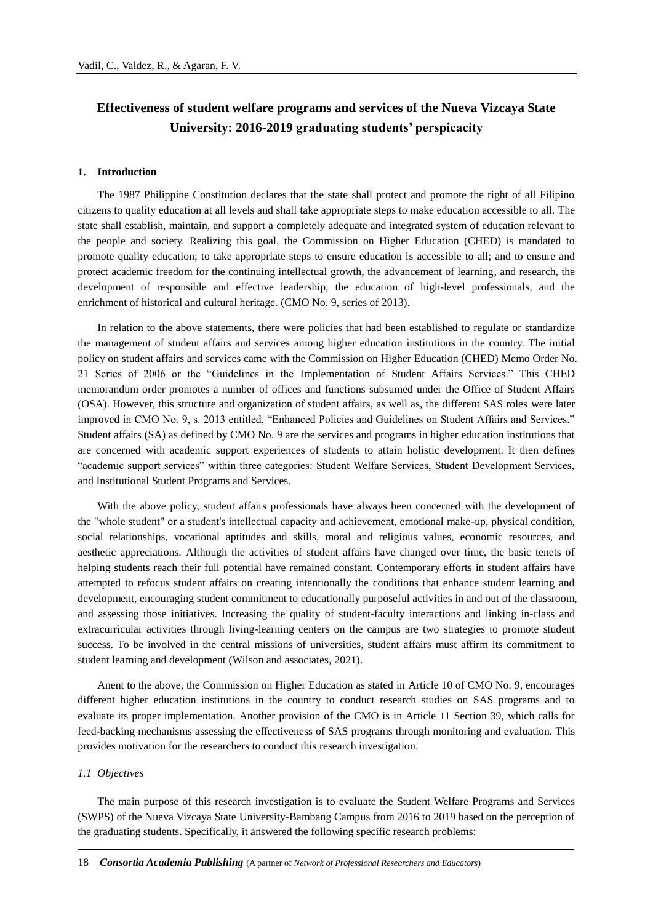# **Effectiveness of student welfare programs and services of the Nueva Vizcaya State University: 2016-2019 graduating students' perspicacity**

#### **1. Introduction**

The 1987 Philippine Constitution declares that the state shall protect and promote the right of all Filipino citizens to quality education at all levels and shall take appropriate steps to make education accessible to all. The state shall establish, maintain, and support a completely adequate and integrated system of education relevant to the people and society. Realizing this goal, the Commission on Higher Education (CHED) is mandated to promote quality education; to take appropriate steps to ensure education is accessible to all; and to ensure and protect academic freedom for the continuing intellectual growth, the advancement of learning, and research, the development of responsible and effective leadership, the education of high-level professionals, and the enrichment of historical and cultural heritage. (CMO No. 9, series of 2013).

In relation to the above statements, there were policies that had been established to regulate or standardize the management of student affairs and services among higher education institutions in the country. The initial policy on student affairs and services came with the Commission on Higher Education (CHED) Memo Order No. 21 Series of 2006 or the "Guidelines in the Implementation of Student Affairs Services." This CHED memorandum order promotes a number of offices and functions subsumed under the Office of Student Affairs (OSA). However, this structure and organization of student affairs, as well as, the different SAS roles were later improved in CMO No. 9, s. 2013 entitled, "Enhanced Policies and Guidelines on Student Affairs and Services." Student affairs (SA) as defined by CMO No. 9 are the services and programs in higher education institutions that are concerned with academic support experiences of students to attain holistic development. It then defines "academic support services" within three categories: Student Welfare Services, Student Development Services, and Institutional Student Programs and Services.

With the above policy, student affairs professionals have always been concerned with the development of the "whole student" or a student's intellectual capacity and achievement, emotional make-up, physical condition, social relationships, vocational aptitudes and skills, moral and religious values, economic resources, and aesthetic appreciations. Although the activities of student affairs have changed over time, the basic tenets of helping students reach their full potential have remained constant. Contemporary efforts in student affairs have attempted to refocus student affairs on creating intentionally the conditions that enhance student learning and development, encouraging student commitment to educationally purposeful activities in and out of the classroom, and assessing those initiatives. Increasing the quality of student-faculty interactions and linking in-class and extracurricular activities through living-learning centers on the campus are two strategies to promote student success. To be involved in the central missions of universities, student affairs must affirm its commitment to student learning and development (Wilson and associates, 2021).

Anent to the above, the Commission on Higher Education as stated in Article 10 of CMO No. 9, encourages different higher education institutions in the country to conduct research studies on SAS programs and to evaluate its proper implementation. Another provision of the CMO is in Article 11 Section 39, which calls for feed-backing mechanisms assessing the effectiveness of SAS programs through monitoring and evaluation. This provides motivation for the researchers to conduct this research investigation.

## *1.1 Objectives*

The main purpose of this research investigation is to evaluate the Student Welfare Programs and Services (SWPS) of the Nueva Vizcaya State University-Bambang Campus from 2016 to 2019 based on the perception of the graduating students. Specifically, it answered the following specific research problems: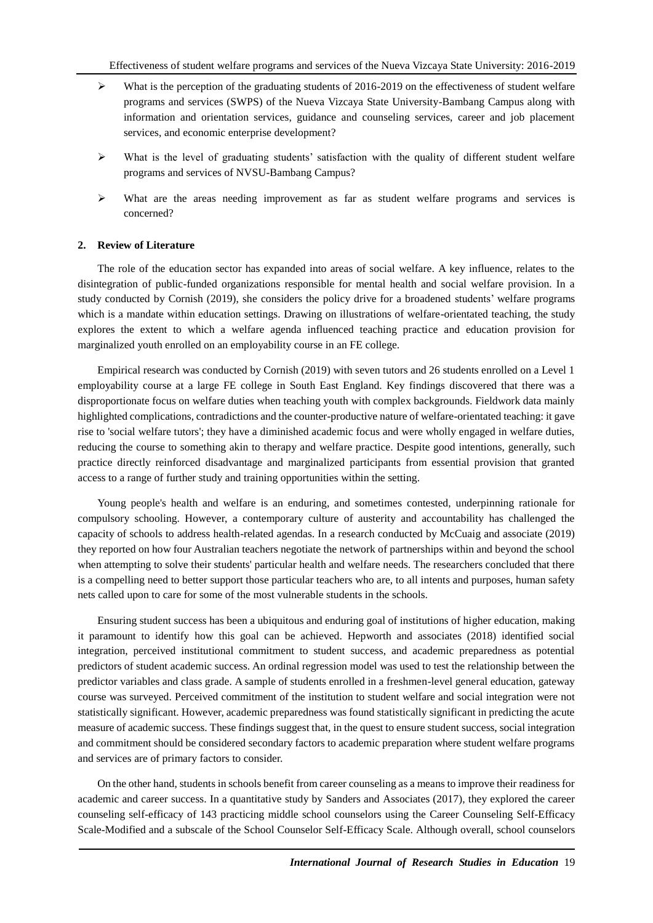- $\blacktriangleright$  What is the perception of the graduating students of 2016-2019 on the effectiveness of student welfare programs and services (SWPS) of the Nueva Vizcaya State University-Bambang Campus along with information and orientation services, guidance and counseling services, career and job placement services, and economic enterprise development?
- $\triangleright$  What is the level of graduating students' satisfaction with the quality of different student welfare programs and services of NVSU-Bambang Campus?
- $\triangleright$  What are the areas needing improvement as far as student welfare programs and services is concerned?

### **2. Review of Literature**

The role of the education sector has expanded into areas of social welfare. A key influence, relates to the disintegration of public-funded organizations responsible for mental health and social welfare provision. In a study conducted by Cornish (2019), she considers the policy drive for a broadened students' welfare programs which is a mandate within education settings. Drawing on illustrations of welfare-orientated teaching, the study explores the extent to which a welfare agenda influenced teaching practice and education provision for marginalized youth enrolled on an employability course in an FE college.

Empirical research was conducted by Cornish (2019) with seven tutors and 26 students enrolled on a Level 1 employability course at a large FE college in South East England. Key findings discovered that there was a disproportionate focus on welfare duties when teaching youth with complex backgrounds. Fieldwork data mainly highlighted complications, contradictions and the counter-productive nature of welfare-orientated teaching: it gave rise to 'social welfare tutors'; they have a diminished academic focus and were wholly engaged in welfare duties, reducing the course to something akin to therapy and welfare practice. Despite good intentions, generally, such practice directly reinforced disadvantage and marginalized participants from essential provision that granted access to a range of further study and training opportunities within the setting.

Young people's health and welfare is an enduring, and sometimes contested, underpinning rationale for compulsory schooling. However, a contemporary culture of austerity and accountability has challenged the capacity of schools to address health-related agendas. In a research conducted by McCuaig and associate (2019) they reported on how four Australian teachers negotiate the network of partnerships within and beyond the school when attempting to solve their students' particular health and welfare needs. The researchers concluded that there is a compelling need to better support those particular teachers who are, to all intents and purposes, human safety nets called upon to care for some of the most vulnerable students in the schools.

Ensuring student success has been a ubiquitous and enduring goal of institutions of higher education, making it paramount to identify how this goal can be achieved. Hepworth and associates (2018) identified social integration, perceived institutional commitment to student success, and academic preparedness as potential predictors of student academic success. An ordinal regression model was used to test the relationship between the predictor variables and class grade. A sample of students enrolled in a freshmen-level general education, gateway course was surveyed. Perceived commitment of the institution to student welfare and social integration were not statistically significant. However, academic preparedness was found statistically significant in predicting the acute measure of academic success. These findings suggest that, in the quest to ensure student success, social integration and commitment should be considered secondary factors to academic preparation where student welfare programs and services are of primary factors to consider.

On the other hand, students in schools benefit from career counseling as a means to improve their readiness for academic and career success. In a quantitative study by Sanders and Associates (2017), they explored the career counseling self-efficacy of 143 practicing middle school counselors using the Career Counseling Self-Efficacy Scale-Modified and a subscale of the School Counselor Self-Efficacy Scale. Although overall, school counselors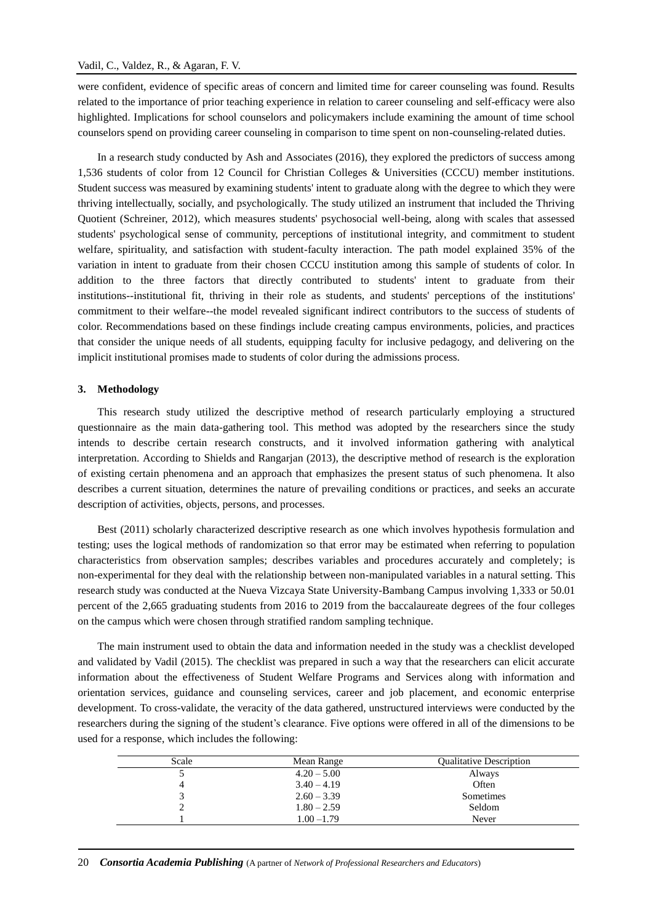were confident, evidence of specific areas of concern and limited time for career counseling was found. Results related to the importance of prior teaching experience in relation to career counseling and self-efficacy were also highlighted. Implications for school counselors and policymakers include examining the amount of time school counselors spend on providing career counseling in comparison to time spent on non-counseling-related duties.

In a research study conducted by Ash and Associates (2016), they explored the predictors of success among 1,536 students of color from 12 Council for Christian Colleges & Universities (CCCU) member institutions. Student success was measured by examining students' intent to graduate along with the degree to which they were thriving intellectually, socially, and psychologically. The study utilized an instrument that included the Thriving Quotient (Schreiner, 2012), which measures students' psychosocial well-being, along with scales that assessed students' psychological sense of community, perceptions of institutional integrity, and commitment to student welfare, spirituality, and satisfaction with student-faculty interaction. The path model explained 35% of the variation in intent to graduate from their chosen CCCU institution among this sample of students of color. In addition to the three factors that directly contributed to students' intent to graduate from their institutions--institutional fit, thriving in their role as students, and students' perceptions of the institutions' commitment to their welfare--the model revealed significant indirect contributors to the success of students of color. Recommendations based on these findings include creating campus environments, policies, and practices that consider the unique needs of all students, equipping faculty for inclusive pedagogy, and delivering on the implicit institutional promises made to students of color during the admissions process.

#### **3. Methodology**

This research study utilized the descriptive method of research particularly employing a structured questionnaire as the main data-gathering tool. This method was adopted by the researchers since the study intends to describe certain research constructs, and it involved information gathering with analytical interpretation. According to Shields and Rangarjan (2013), the descriptive method of research is the exploration of existing certain phenomena and an approach that emphasizes the present status of such phenomena. It also describes a current situation, determines the nature of prevailing conditions or practices, and seeks an accurate description of activities, objects, persons, and processes.

Best (2011) scholarly characterized descriptive research as one which involves hypothesis formulation and testing; uses the logical methods of randomization so that error may be estimated when referring to population characteristics from observation samples; describes variables and procedures accurately and completely; is non-experimental for they deal with the relationship between non-manipulated variables in a natural setting. This research study was conducted at the Nueva Vizcaya State University-Bambang Campus involving 1,333 or 50.01 percent of the 2,665 graduating students from 2016 to 2019 from the baccalaureate degrees of the four colleges on the campus which were chosen through stratified random sampling technique.

The main instrument used to obtain the data and information needed in the study was a checklist developed and validated by Vadil (2015). The checklist was prepared in such a way that the researchers can elicit accurate information about the effectiveness of Student Welfare Programs and Services along with information and orientation services, guidance and counseling services, career and job placement, and economic enterprise development. To cross-validate, the veracity of the data gathered, unstructured interviews were conducted by the researchers during the signing of the student's clearance. Five options were offered in all of the dimensions to be used for a response, which includes the following:

| Scale | Mean Range    | <b>Qualitative Description</b> |
|-------|---------------|--------------------------------|
|       | $4.20 - 5.00$ | Always                         |
|       | $3.40 - 4.19$ | Often                          |
|       | $2.60 - 3.39$ | Sometimes                      |
|       | $1.80 - 2.59$ | Seldom                         |
|       | $1.00 - 1.79$ | Never                          |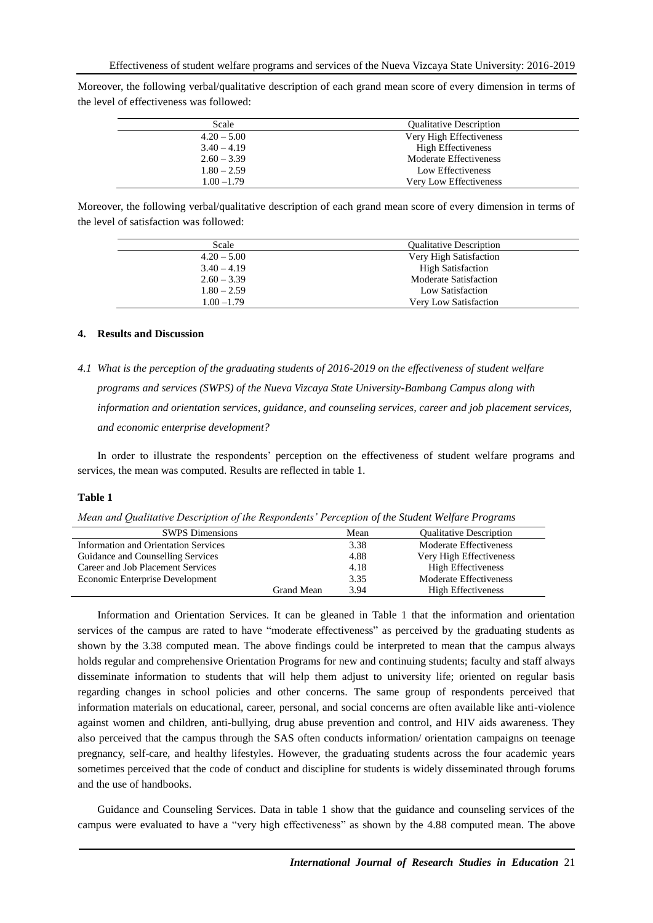Moreover, the following verbal/qualitative description of each grand mean score of every dimension in terms of the level of effectiveness was followed:

| Scale         | <b>Qualitative Description</b> |
|---------------|--------------------------------|
| $4.20 - 5.00$ | Very High Effectiveness        |
| $3.40 - 4.19$ | <b>High Effectiveness</b>      |
| $2.60 - 3.39$ | Moderate Effectiveness         |
| $1.80 - 2.59$ | Low Effectiveness              |
| $1.00 - 1.79$ | Very Low Effectiveness         |
|               |                                |

Moreover, the following verbal/qualitative description of each grand mean score of every dimension in terms of the level of satisfaction was followed:

| Scale         | <b>Qualitative Description</b> |
|---------------|--------------------------------|
| $4.20 - 5.00$ | Very High Satisfaction         |
| $3.40 - 4.19$ | <b>High Satisfaction</b>       |
| $2.60 - 3.39$ | <b>Moderate Satisfaction</b>   |
| $1.80 - 2.59$ | Low Satisfaction               |
| $1.00 - 1.79$ | Very Low Satisfaction          |
|               |                                |

# **4. Results and Discussion**

*4.1 What is the perception of the graduating students of 2016-2019 on the effectiveness of student welfare programs and services (SWPS) of the Nueva Vizcaya State University-Bambang Campus along with information and orientation services, guidance, and counseling services, career and job placement services, and economic enterprise development?*

In order to illustrate the respondents' perception on the effectiveness of student welfare programs and services, the mean was computed. Results are reflected in table 1.

#### **Table 1**

|  | Mean and Qualitative Description of the Respondents' Perception of the Student Welfare Programs |  |
|--|-------------------------------------------------------------------------------------------------|--|
|  |                                                                                                 |  |

| <b>SWPS</b> Dimensions               |            | Mean | <b>Qualitative Description</b> |
|--------------------------------------|------------|------|--------------------------------|
| Information and Orientation Services |            | 3.38 | Moderate Effectiveness         |
| Guidance and Counselling Services    |            | 4.88 | Very High Effectiveness        |
| Career and Job Placement Services    |            | 4.18 | <b>High Effectiveness</b>      |
| Economic Enterprise Development      |            | 3.35 | Moderate Effectiveness         |
|                                      | Grand Mean | 3.94 | <b>High Effectiveness</b>      |

Information and Orientation Services. It can be gleaned in Table 1 that the information and orientation services of the campus are rated to have "moderate effectiveness" as perceived by the graduating students as shown by the 3.38 computed mean. The above findings could be interpreted to mean that the campus always holds regular and comprehensive Orientation Programs for new and continuing students; faculty and staff always disseminate information to students that will help them adjust to university life; oriented on regular basis regarding changes in school policies and other concerns. The same group of respondents perceived that information materials on educational, career, personal, and social concerns are often available like anti-violence against women and children, anti-bullying, drug abuse prevention and control, and HIV aids awareness. They also perceived that the campus through the SAS often conducts information/ orientation campaigns on teenage pregnancy, self-care, and healthy lifestyles. However, the graduating students across the four academic years sometimes perceived that the code of conduct and discipline for students is widely disseminated through forums and the use of handbooks.

Guidance and Counseling Services. Data in table 1 show that the guidance and counseling services of the campus were evaluated to have a "very high effectiveness" as shown by the 4.88 computed mean. The above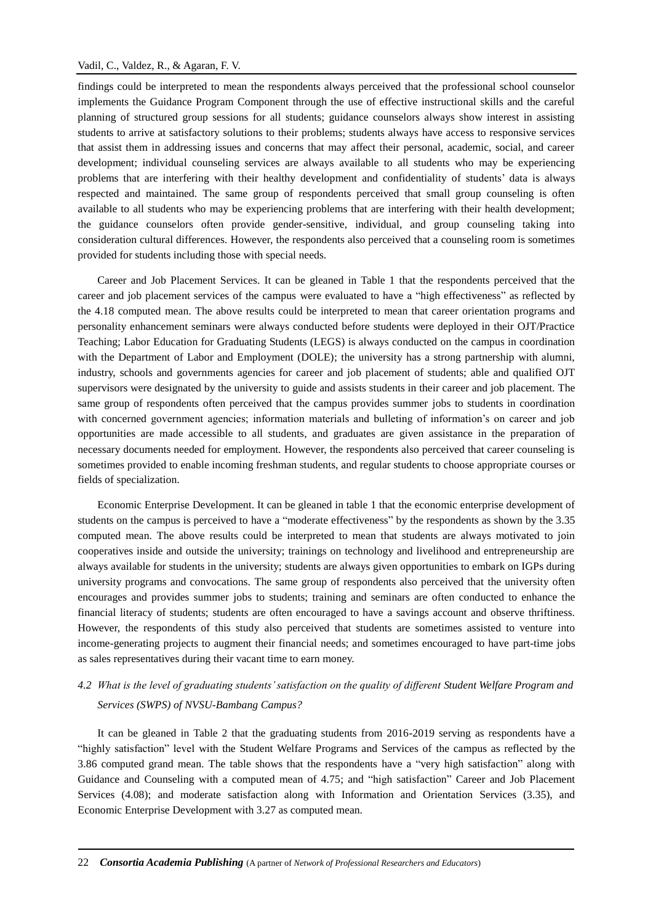findings could be interpreted to mean the respondents always perceived that the professional school counselor implements the Guidance Program Component through the use of effective instructional skills and the careful planning of structured group sessions for all students; guidance counselors always show interest in assisting students to arrive at satisfactory solutions to their problems; students always have access to responsive services that assist them in addressing issues and concerns that may affect their personal, academic, social, and career development; individual counseling services are always available to all students who may be experiencing problems that are interfering with their healthy development and confidentiality of students' data is always respected and maintained. The same group of respondents perceived that small group counseling is often available to all students who may be experiencing problems that are interfering with their health development; the guidance counselors often provide gender-sensitive, individual, and group counseling taking into consideration cultural differences. However, the respondents also perceived that a counseling room is sometimes provided for students including those with special needs.

Career and Job Placement Services. It can be gleaned in Table 1 that the respondents perceived that the career and job placement services of the campus were evaluated to have a "high effectiveness" as reflected by the 4.18 computed mean. The above results could be interpreted to mean that career orientation programs and personality enhancement seminars were always conducted before students were deployed in their OJT/Practice Teaching; Labor Education for Graduating Students (LEGS) is always conducted on the campus in coordination with the Department of Labor and Employment (DOLE); the university has a strong partnership with alumni, industry, schools and governments agencies for career and job placement of students; able and qualified OJT supervisors were designated by the university to guide and assists students in their career and job placement. The same group of respondents often perceived that the campus provides summer jobs to students in coordination with concerned government agencies; information materials and bulleting of information's on career and job opportunities are made accessible to all students, and graduates are given assistance in the preparation of necessary documents needed for employment. However, the respondents also perceived that career counseling is sometimes provided to enable incoming freshman students, and regular students to choose appropriate courses or fields of specialization.

Economic Enterprise Development. It can be gleaned in table 1 that the economic enterprise development of students on the campus is perceived to have a "moderate effectiveness" by the respondents as shown by the 3.35 computed mean. The above results could be interpreted to mean that students are always motivated to join cooperatives inside and outside the university; trainings on technology and livelihood and entrepreneurship are always available for students in the university; students are always given opportunities to embark on IGPs during university programs and convocations. The same group of respondents also perceived that the university often encourages and provides summer jobs to students; training and seminars are often conducted to enhance the financial literacy of students; students are often encouraged to have a savings account and observe thriftiness. However, the respondents of this study also perceived that students are sometimes assisted to venture into income-generating projects to augment their financial needs; and sometimes encouraged to have part-time jobs as sales representatives during their vacant time to earn money.

# *4.2 What is the level of graduating students' satisfaction on the quality of different Student Welfare Program and Services (SWPS) of NVSU-Bambang Campus?*

It can be gleaned in Table 2 that the graduating students from 2016-2019 serving as respondents have a "highly satisfaction" level with the Student Welfare Programs and Services of the campus as reflected by the 3.86 computed grand mean. The table shows that the respondents have a "very high satisfaction" along with Guidance and Counseling with a computed mean of 4.75; and "high satisfaction" Career and Job Placement Services (4.08); and moderate satisfaction along with Information and Orientation Services (3.35), and Economic Enterprise Development with 3.27 as computed mean.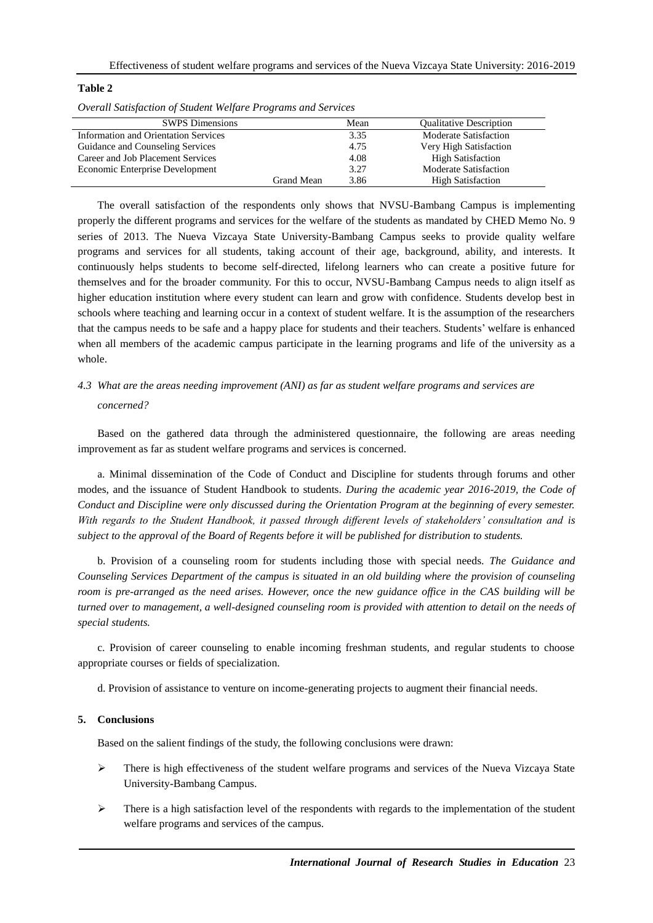| Overall Satisfaction of Student Welfare Programs and Services |            |      |                                |
|---------------------------------------------------------------|------------|------|--------------------------------|
| <b>SWPS</b> Dimensions                                        |            | Mean | <b>Qualitative Description</b> |
| <b>Information and Orientation Services</b>                   |            | 3.35 | <b>Moderate Satisfaction</b>   |
| Guidance and Counseling Services                              |            | 4.75 | Very High Satisfaction         |
| Career and Job Placement Services                             |            | 4.08 | <b>High Satisfaction</b>       |
| Economic Enterprise Development                               |            | 3.27 | <b>Moderate Satisfaction</b>   |
|                                                               | Grand Mean | 3.86 | <b>High Satisfaction</b>       |

#### **Table 2**

The overall satisfaction of the respondents only shows that NVSU-Bambang Campus is implementing properly the different programs and services for the welfare of the students as mandated by CHED Memo No. 9 series of 2013. The Nueva Vizcaya State University-Bambang Campus seeks to provide quality welfare programs and services for all students, taking account of their age, background, ability, and interests. It continuously helps students to become self-directed, lifelong learners who can create a positive future for themselves and for the broader community. For this to occur, NVSU-Bambang Campus needs to align itself as higher education institution where every student can learn and grow with confidence. Students develop best in schools where teaching and learning occur in a context of student welfare. It is the assumption of the researchers that the campus needs to be safe and a happy place for students and their teachers. Students' welfare is enhanced when all members of the academic campus participate in the learning programs and life of the university as a whole.

# *4.3 What are the areas needing improvement (ANI) as far as student welfare programs and services are concerned?*

Based on the gathered data through the administered questionnaire, the following are areas needing improvement as far as student welfare programs and services is concerned.

a. Minimal dissemination of the Code of Conduct and Discipline for students through forums and other modes, and the issuance of Student Handbook to students. *During the academic year 2016-2019, the Code of Conduct and Discipline were only discussed during the Orientation Program at the beginning of every semester. With regards to the Student Handbook, it passed through different levels of stakeholders' consultation and is subject to the approval of the Board of Regents before it will be published for distribution to students.*

b. Provision of a counseling room for students including those with special needs. *The Guidance and Counseling Services Department of the campus is situated in an old building where the provision of counseling room is pre-arranged as the need arises. However, once the new guidance office in the CAS building will be turned over to management, a well-designed counseling room is provided with attention to detail on the needs of special students.* 

c. Provision of career counseling to enable incoming freshman students, and regular students to choose appropriate courses or fields of specialization.

d. Provision of assistance to venture on income-generating projects to augment their financial needs.

# **5. Conclusions**

Based on the salient findings of the study, the following conclusions were drawn:

- $\triangleright$  There is high effectiveness of the student welfare programs and services of the Nueva Vizcaya State University-Bambang Campus.
- $\triangleright$  There is a high satisfaction level of the respondents with regards to the implementation of the student welfare programs and services of the campus.